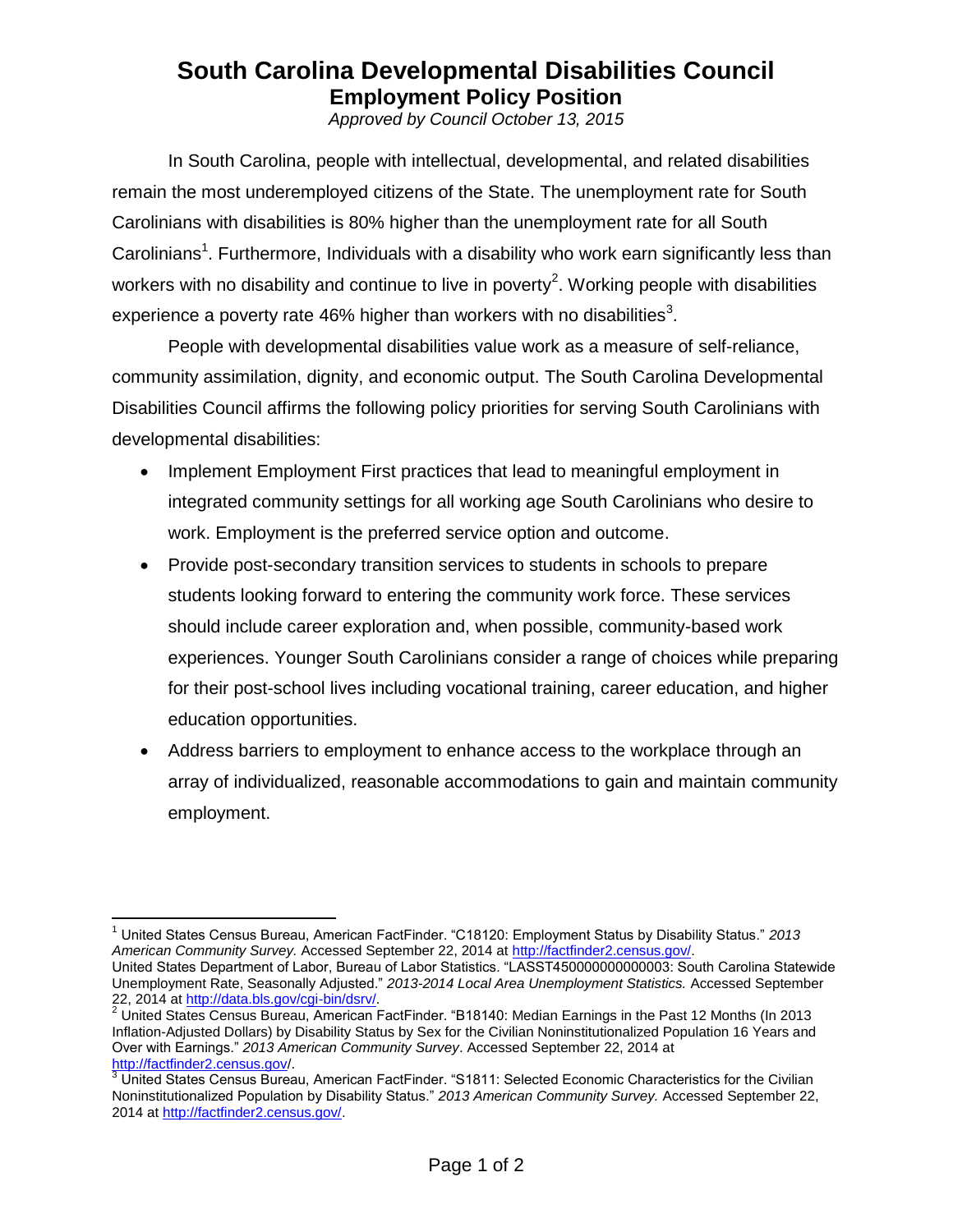## **South Carolina Developmental Disabilities Council Employment Policy Position**

*Approved by Council October 13, 2015*

In South Carolina, people with intellectual, developmental, and related disabilities remain the most underemployed citizens of the State. The unemployment rate for South Carolinians with disabilities is 80% higher than the unemployment rate for all South Carolinians<sup>1</sup>. Furthermore, Individuals with a disability who work earn significantly less than workers with no disability and continue to live in poverty<sup>2</sup>. Working people with disabilities experience a poverty rate 46% higher than workers with no disabilities<sup>3</sup>.

People with developmental disabilities value work as a measure of self-reliance, community assimilation, dignity, and economic output. The South Carolina Developmental Disabilities Council affirms the following policy priorities for serving South Carolinians with developmental disabilities:

- Implement Employment First practices that lead to meaningful employment in integrated community settings for all working age South Carolinians who desire to work. Employment is the preferred service option and outcome.
- Provide post-secondary transition services to students in schools to prepare students looking forward to entering the community work force. These services should include career exploration and, when possible, community-based work experiences. Younger South Carolinians consider a range of choices while preparing for their post-school lives including vocational training, career education, and higher education opportunities.
- Address barriers to employment to enhance access to the workplace through an array of individualized, reasonable accommodations to gain and maintain community employment.

 $\overline{a}$ <sup>1</sup> United States Census Bureau, American FactFinder. "C18120: Employment Status by Disability Status." *2013 American Community Survey.* Accessed September 22, 2014 at [http://factfinder2.census.gov/.](https://factfinder2.census.gov/) United States Department of Labor, Bureau of Labor Statistics. "LASST450000000000003: South Carolina Statewide

Unemployment Rate, Seasonally Adjusted." *2013-2014 Local Area Unemployment Statistics.* Accessed September 22, 2014 a[t http://data.bls.gov/cgi-bin/dsrv/.](https://data.bls.gov/cgi-bin/dsrv/)

 $2$  United States Census Bureau, American FactFinder. "B18140: Median Earnings in the Past 12 Months (In 2013 Inflation-Adjusted Dollars) by Disability Status by Sex for the Civilian Noninstitutionalized Population 16 Years and Over with Earnings." *2013 American Community Survey*. Accessed September 22, 2014 at [http://factfinder2.census.gov/](https://factfinder2.census.gov/faces/tableservices/jsf/pages/productview.xhtml?pid=ACS_11_5YR_B11001&prodType=table).

<sup>&</sup>lt;sup>3</sup> United States Census Bureau, American FactFinder. "S1811: Selected Economic Characteristics for the Civilian Noninstitutionalized Population by Disability Status." *2013 American Community Survey.* Accessed September 22, 2014 at [http://factfinder2.census.gov/.](https://factfinder2.census.gov/)